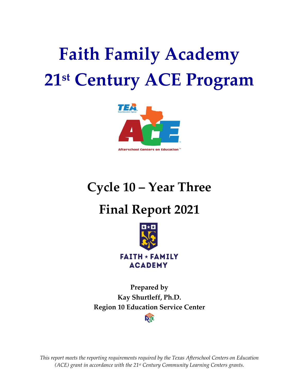# **Faith Family Academy 21st Century ACE Program**



**Cycle 10 – Year Three**

## **Final Report 2021**



**Prepared by Kay Shurtleff, Ph.D. Region 10 Education Service CenterRTC** 

*This report meets the reporting requirements required by the Texas Afterschool Centers on Education (ACE) grant in accordance with the 21st Century Community Learning Centers grants.*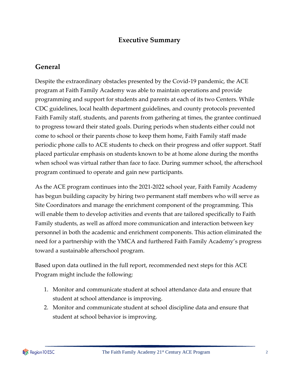## **Executive Summary**

## **General**

Despite the extraordinary obstacles presented by the Covid-19 pandemic, the ACE program at Faith Family Academy was able to maintain operations and provide programming and support for students and parents at each of its two Centers. While CDC guidelines, local health department guidelines, and county protocols prevented Faith Family staff, students, and parents from gathering at times, the grantee continued to progress toward their stated goals. During periods when students either could not come to school or their parents chose to keep them home, Faith Family staff made periodic phone calls to ACE students to check on their progress and offer support. Staff placed particular emphasis on students known to be at home alone during the months when school was virtual rather than face to face. During summer school, the afterschool program continued to operate and gain new participants.

As the ACE program continues into the 2021-2022 school year, Faith Family Academy has begun building capacity by hiring two permanent staff members who will serve as Site Coordinators and manage the enrichment component of the programming. This will enable them to develop activities and events that are tailored specifically to Faith Family students, as well as afford more communication and interaction between key personnel in both the academic and enrichment components. This action eliminated the need for a partnership with the YMCA and furthered Faith Family Academy's progress toward a sustainable afterschool program.

Based upon data outlined in the full report, recommended next steps for this ACE Program might include the following:

- 1. Monitor and communicate student at school attendance data and ensure that student at school attendance is improving.
- 2. Monitor and communicate student at school discipline data and ensure that student at school behavior is improving.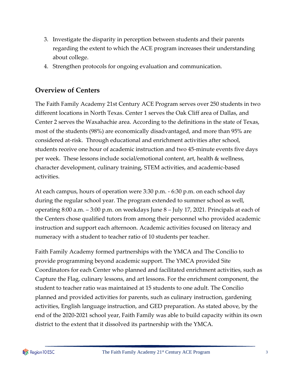- 3. Investigate the disparity in perception between students and their parents regarding the extent to which the ACE program increases their understanding about college.
- 4. Strengthen protocols for ongoing evaluation and communication.

## **Overview of Centers**

The Faith Family Academy 21st Century ACE Program serves over 250 students in two different locations in North Texas. Center 1 serves the Oak Cliff area of Dallas, and Center 2 serves the Waxahachie area. According to the definitions in the state of Texas, most of the students (98%) are economically disadvantaged, and more than 95% are considered at-risk. Through educational and enrichment activities after school, students receive one hour of academic instruction and two 45-minute events five days per week. These lessons include social/emotional content, art, health & wellness, character development, culinary training, STEM activities, and academic-based activities.

At each campus, hours of operation were 3:30 p.m. - 6:30 p.m. on each school day during the regular school year. The program extended to summer school as well, operating 8:00 a.m. – 3:00 p.m. on weekdays June 8 – July 17, 2021. Principals at each of the Centers chose qualified tutors from among their personnel who provided academic instruction and support each afternoon. Academic activities focused on literacy and numeracy with a student to teacher ratio of 10 students per teacher.

Faith Family Academy formed partnerships with the YMCA and The Concilio to provide programming beyond academic support. The YMCA provided Site Coordinators for each Center who planned and facilitated enrichment activities, such as Capture the Flag, culinary lessons, and art lessons. For the enrichment component, the student to teacher ratio was maintained at 15 students to one adult. The Concilio planned and provided activities for parents, such as culinary instruction, gardening activities, English language instruction, and GED preparation. As stated above, by the end of the 2020-2021 school year, Faith Family was able to build capacity within its own district to the extent that it dissolved its partnership with the YMCA.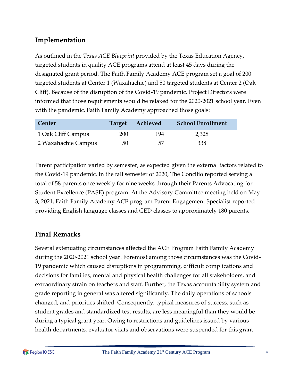## **Implementation**

As outlined in the *Texas ACE Blueprint* provided by the Texas Education Agency, targeted students in quality ACE programs attend at least 45 days during the designated grant period. The Faith Family Academy ACE program set a goal of 200 targeted students at Center 1 (Waxahachie) and 50 targeted students at Center 2 (Oak Cliff). Because of the disruption of the Covid-19 pandemic, Project Directors were informed that those requirements would be relaxed for the 2020-2021 school year. Even with the pandemic, Faith Family Academy approached those goals:

| Center              |     | Target Achieved | <b>School Enrollment</b> |
|---------------------|-----|-----------------|--------------------------|
| 1 Oak Cliff Campus  | 200 | 194             | 2,328                    |
| 2 Waxahachie Campus | 50  | 57              | -338                     |

Parent participation varied by semester, as expected given the external factors related to the Covid-19 pandemic. In the fall semester of 2020, The Concilio reported serving a total of 58 parents once weekly for nine weeks through their Parents Advocating for Student Excellence (PASE) program. At the Advisory Committee meeting held on May 3, 2021, Faith Family Academy ACE program Parent Engagement Specialist reported providing English language classes and GED classes to approximately 180 parents.

## **Final Remarks**

Several extenuating circumstances affected the ACE Program Faith Family Academy during the 2020-2021 school year. Foremost among those circumstances was the Covid-19 pandemic which caused disruptions in programming, difficult complications and decisions for families, mental and physical health challenges for all stakeholders, and extraordinary strain on teachers and staff. Further, the Texas accountability system and grade reporting in general was altered significantly. The daily operations of schools changed, and priorities shifted. Consequently, typical measures of success, such as student grades and standardized test results, are less meaningful than they would be during a typical grant year. Owing to restrictions and guidelines issued by various health departments, evaluator visits and observations were suspended for this grant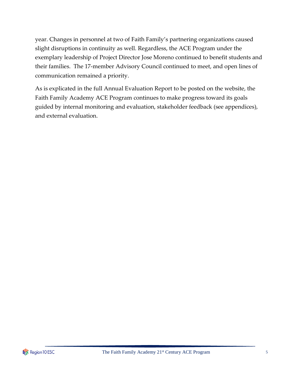year. Changes in personnel at two of Faith Family's partnering organizations caused slight disruptions in continuity as well. Regardless, the ACE Program under the exemplary leadership of Project Director Jose Moreno continued to benefit students and their families. The 17-member Advisory Council continued to meet, and open lines of communication remained a priority.

As is explicated in the full Annual Evaluation Report to be posted on the website, the Faith Family Academy ACE Program continues to make progress toward its goals guided by internal monitoring and evaluation, stakeholder feedback (see appendices), and external evaluation.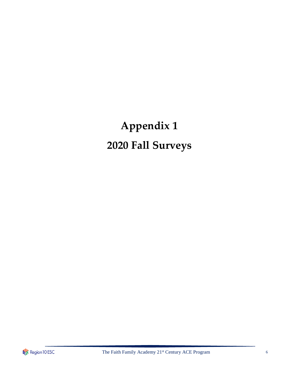## **Appendix 1 2020 Fall Surveys**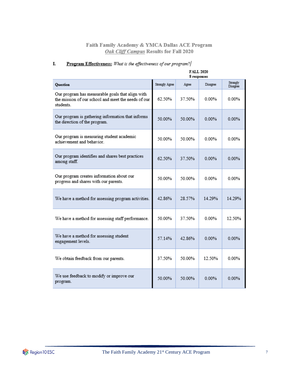|                                                                                                                     | <b>FALL 2020</b><br>8 responses |        |          |                      |
|---------------------------------------------------------------------------------------------------------------------|---------------------------------|--------|----------|----------------------|
| <b>Question</b>                                                                                                     | Strongly Agree                  | Agree  | Disagree | Strongly<br>Disagree |
| Our program has measurable goals that align with<br>the mission of our school and meet the needs of our<br>students | 62.50%                          | 37.50% | 0.00%    | $0.00\%$             |
| Our program is gathering information that informs<br>the direction of the program.                                  | 50.00%                          | 50.00% | 0.00%    | $0.00\%$             |
| Our program is measuring student academic<br>achievement and behavior.                                              | 50.00%                          | 50.00% | $0.00\%$ | $0.00\%$             |
| Our program identifies and shares best practices<br>among staff.                                                    | 62.50%                          | 37 50% | 0.00%    | 0.00%                |
| Our program creates information about our<br>progress and shares with our parents.                                  | 50.00%                          | 50.00% | 0.00%    | 0.00%                |
| We have a method for assessing program activities.                                                                  | 42.86%                          | 28.57% | 14.29%   | 14.29%               |
| We have a method for assessing staff performance.                                                                   | 50.00%                          | 37.50% | $0.00\%$ | 12.50%               |
| We have a method for assessing student<br>engagement levels.                                                        | 57.14%                          | 42.86% | $0.00\%$ | 0.00%                |
| We obtain feedback from our parents.                                                                                | 37 50%                          | 50 00% | 12.50%   | 0.00%                |
| We use feedback to modify or improve our<br>program.                                                                | 50.00%                          | 50.00% | 0.00%    | 0.00%                |

#### $\underline{\textbf{Program Effectiveness:}}$  What is the effectiveness of our program? L.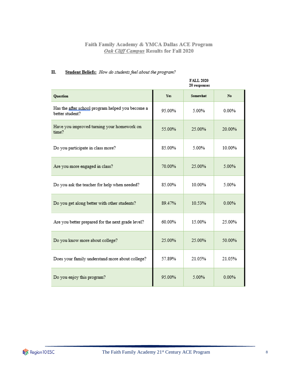#### П. Student Beliefs: How do students feel about the program?

|                                                                     |        | <b>FALL 2020</b><br>20 responses |        |
|---------------------------------------------------------------------|--------|----------------------------------|--------|
| <b>Ouestion</b>                                                     | Yes    | Somewhat                         | No.    |
| Has the after school program helped you become a<br>better student? | 95.00% | 5.00%                            | 0.00%  |
| Have you improved turning your homework on<br>time?                 | 55.00% | 25.00%                           | 20.00% |
| Do you participate in class more?                                   | 85.00% | 5.00%                            | 10.00% |
| Are you more engaged in class?                                      | 70.00% | 25.00%                           | 5.00%  |
| Do you ask the teacher for help when needed?                        | 85.00% | 10.00%                           | 5.00%  |
| Do you get along better with other students?                        | 89.47% | 10.53%                           | 0.00%  |
| Are you better prepared for the next grade level?                   | 60.00% | 15.00%                           | 25.00% |
| Do you know more about college?                                     | 25.00% | 25.00%                           | 50.00% |
| Does your family understand more about college?                     | 57.89% | 21.05%                           | 21.05% |
| Do you enjoy this program?                                          | 95.00% | 5.00%                            | 0.00%  |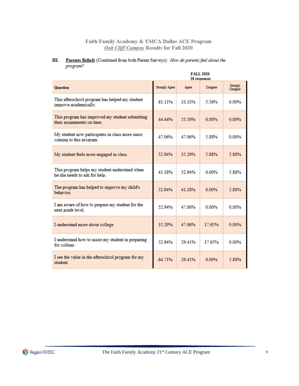#### Parents Beliefs (Combined from both Parent Surveys): How do parents feel about the Ш. program?

|                                                                                | <b>FALL 2020</b><br>18 responses |         |          |                      |  |
|--------------------------------------------------------------------------------|----------------------------------|---------|----------|----------------------|--|
| <b>Ouestion</b>                                                                | Strongly Agree                   | Agree   | Disagree | Strongly<br>Disagree |  |
| This afterschool program has helped my student<br>improve academically.        | 61 11%                           | 33 33%  | 5 56%    | 0.00%                |  |
| This program has improved my student submitting<br>their assignments on time.  | 44.44%                           | 55.56%  | 0.00%    | $0.00\%$             |  |
| My student now participates in class more since<br>coming to this program.     | 47 06%                           | 47 06%  | 5.88%    | 0.00%                |  |
| My student feels more engaged in class.                                        | 52.94%                           | 35.29%  | 5.88%    | 5.88%                |  |
| This program helps my student understand when<br>he/she needs to ask for help. | 41.18%                           | 52.94%  | 0.00%    | 5.88%                |  |
| The program has helped to improve my child's<br>behavior.                      | 52.94%                           | 41.18%  | 0.00%    | 5.88%                |  |
| I am aware of how to prepare my student for the<br>next grade level.           | 52.94%                           | 47 06%  | $0.00\%$ | 0.00%                |  |
| I understand more about college.                                               | 35.29%                           | 47.06%  | 17.65%   | 0.00%                |  |
| I understand how to assist my student in preparing<br>for college.             | 52.94%                           | 29.41%  | 17.65%   | 0.00%                |  |
| I see the value in the afterschool program for my<br>student.                  | 64.71%                           | 29 4 1% | 0.00%    | 5.88%                |  |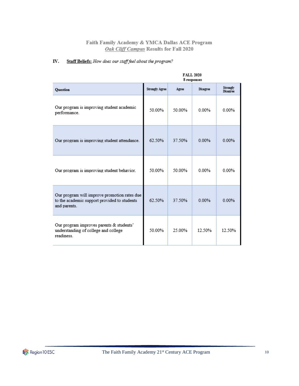#### Staff Beliefs: How does our staff feel about the program? IV.

|                                                                                                              | FALL 2020<br>8 responses |        |                 |                             |  |
|--------------------------------------------------------------------------------------------------------------|--------------------------|--------|-----------------|-----------------------------|--|
| <b>Ouestion</b>                                                                                              | <b>Strongly Agree</b>    | Agree  | <b>Disagree</b> | Strongly<br><b>Disagree</b> |  |
| Our program is improving student academic<br>performance.                                                    | 50.00%                   | 50.00% | 0.00%           | 0.00%                       |  |
| Our program is improving student attendance.                                                                 | 62.50%                   | 37.50% | 0.00%           | 0.00%                       |  |
| Our program is improving student behavior.                                                                   | 50.00%                   | 50.00% | 0.00%           | 0.00%                       |  |
| Our program will improve promotion rates due<br>to the academic support provided to students<br>and parents. | 62.50%                   | 37.50% | 0.00%           | 0.00%                       |  |
| Our program improves parents & students'<br>understanding of college and college<br>readiness                | 50.00%                   | 25.00% | 12.50%          | 12.50%                      |  |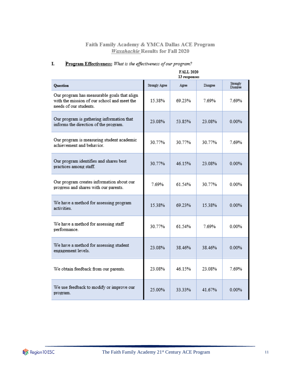|                                                                                                                      | <b>FALL 2020</b><br>13 responses |        |          |                      |  |
|----------------------------------------------------------------------------------------------------------------------|----------------------------------|--------|----------|----------------------|--|
| Question                                                                                                             | Strongly Agree                   | Agree  | Disagree | Strongly<br>Disagree |  |
| Our program has measurable goals that align<br>with the mission of our school and meet the<br>needs of our students. | 15.38%                           | 69.23% | 7.69%    | 7.69%                |  |
| Our program is gathering information that<br>informs the direction of the program.                                   | 23.08%                           | 53.85% | 23.08%   | $0.00\%$             |  |
| Our program is measuring student academic<br>achievement and behavior.                                               | 30.77%                           | 30.77% | 30.77%   | 7.69%                |  |
| Our program identifies and shares best<br>practices among staff.                                                     | 30.77%                           | 46.15% | 23.08%   | $0.00\%$             |  |
| Our program creates information about our<br>progress and shares with our parents.                                   | 7.69%                            | 61.54% | 30.77%   | $0.00\%$             |  |
| We have a method for assessing program<br>activities                                                                 | 15.38%                           | 69.23% | 15.38%   | $0.00\%$             |  |
| We have a method for assessing staff<br>performance.                                                                 | 30.77%                           | 61.54% | 769%     | 0.00%                |  |
| We have a method for assessing student<br>engagement levels.                                                         | 23.08%                           | 38.46% | 38.46%   | 0.00%                |  |
| We obtain feedback from our parents.                                                                                 | 23.08%                           | 46.15% | 23.08%   | 7.69%                |  |
| We use feedback to modify or improve our<br>program.                                                                 | 25.00%                           | 33.33% | 41.67%   | 0.00%                |  |

#### Program Effectiveness: What is the effectiveness of our program? I.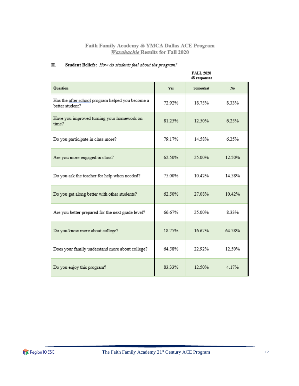#### Student Beliefs: How do students feel about the program? П.

|                                                                     |        | FALL 2020<br>48 responses |        |
|---------------------------------------------------------------------|--------|---------------------------|--------|
| Question                                                            | Yes.   | Somewhat                  | No     |
| Has the after school program helped you become a<br>better student? | 72.92% | 18.75%                    | 8.33%  |
| Have you improved turning your homework on<br>time?                 | 81.25% | 12.50%                    | 6.25%  |
| Do you participate in class more?                                   | 79.17% | 14.58%                    | 6.25%  |
| Are you more engaged in class?                                      | 62.50% | 25.00%                    | 12.50% |
| Do you ask the teacher for help when needed?                        | 75.00% | 10.42%                    | 14.58% |
| Do you get along better with other students?                        | 62.50% | 27.08%                    | 10.42% |
| Are you better prepared for the next grade level?                   | 66.67% | 25.00%                    | 833%   |
| Do you know more about college?                                     | 18.75% | 16.67%                    | 64.58% |
| Does your family understand more about college?                     | 64.58% | 22.92%                    | 12.50% |
| Do you enjoy this program?                                          | 83.33% | 12.50%                    | 4.17%  |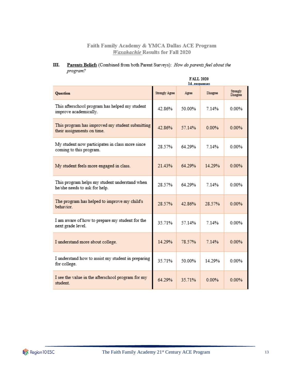#### Ш. Parents Beliefs (Combined from both Parent Surveys): How do parents feel about the program?

|                                                                                | <b>FALL 2020</b><br>14 responses |        |          |                      |
|--------------------------------------------------------------------------------|----------------------------------|--------|----------|----------------------|
| <b>Question</b>                                                                | Strongly Agree                   | Agree  | Disagree | Strongly<br>Disagree |
| This afterschool program has helped my student<br>improve academically.        | 42.86%                           | 50.00% | 7.14%    | $0.00\%$             |
| This program has improved my student submitting<br>their assignments on time.  | 42.86%                           | 57.14% | 0.00%    | 0.00%                |
| My student now participates in class more since<br>coming to this program.     | 28.57%                           | 64 29% | 7 14%    | $0.00\%$             |
| My student feels more engaged in class.                                        | 21.43%                           | 64.29% | 14.29%   | $0.00\%$             |
| This program helps my student understand when<br>he/she needs to ask for help. | 28.57%                           | 64.29% | 7.14%    | 0.00%                |
| The program has helped to improve my child's<br>behavior.                      | 28.57%                           | 42.86% | 28.57%   | 0.00%                |
| I am aware of how to prepare my student for the<br>next grade level.           | 35.71%                           | 57.14% | 7.14%    | 0.00%                |
| I understand more about college.                                               | 14.29%                           | 78.57% | 7.14%    | 0.00%                |
| I understand how to assist my student in preparing<br>for college.             | 35.71%                           | 50.00% | 14.29%   | $0.00\%$             |
| I see the value in the afterschool program for my<br>student.                  | 64.29%                           | 35.71% | 0.00%    | 0.00%                |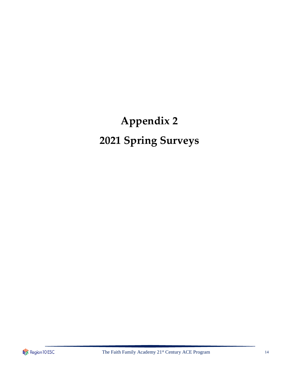## **Appendix 2 2021 Spring Surveys**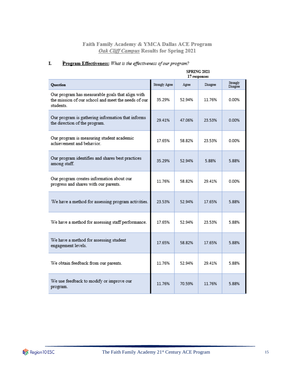|                                                                                                                     | <b>SPRING 2021</b><br>17 responses |        |          |                      |
|---------------------------------------------------------------------------------------------------------------------|------------------------------------|--------|----------|----------------------|
| <b>Question</b>                                                                                                     | Strongly Agree                     | Agree  | Disagree | Strongly<br>Disagree |
| Our program has measurable goals that align with<br>the mission of our school and meet the needs of our<br>students | 35.29%                             | 52 94% | 11.76%   | 0.00%                |
| Our program is gathering information that informs<br>the direction of the program.                                  | 29.41%                             | 47.06% | 23.53%   | 0.00%                |
| Our program is measuring student academic<br>achievement and behavior.                                              | 17.65%                             | 58 82% | 23.53%   | 0.00%                |
| Our program identifies and shares best practices<br>among staff.                                                    | 35.29%                             | 52.94% | 5.88%    | 5.88%                |
| Our program creates information about our<br>progress and shares with our parents.                                  | 11.76%                             | 58.82% | 29.41%   | 0.00%                |
| We have a method for assessing program activities.                                                                  | 23.53%                             | 52.94% | 17.65%   | 5.88%                |
| We have a method for assessing staff performance.                                                                   | 17.65%                             | 52.94% | 23.53%   | 5.88%                |
| We have a method for assessing student<br>engagement levels.                                                        | 17.65%                             | 58.82% | 17.65%   | 5.88%                |
| We obtain feedback from our parents.                                                                                | 11.76%                             | 52.94% | 29.41%   | 5.88%                |
| We use feedback to modify or improve our<br>program.                                                                | 11.76%                             | 70.59% | 11.76%   | 5.88%                |

#### Program Effectiveness: What is the effectiveness of our program? I.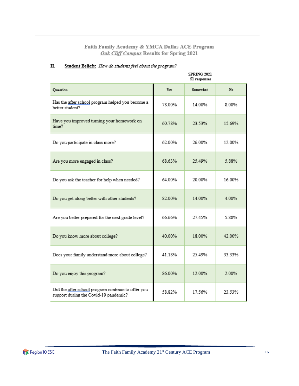|                                                                                             | <b>SPRING 2021</b><br>51 responses |          |        |  |  |
|---------------------------------------------------------------------------------------------|------------------------------------|----------|--------|--|--|
| Question                                                                                    | Yes                                | Somewhat | No.    |  |  |
| Has the after school program helped you become a<br>better student?                         | 78.00%                             | 14.00%   | 8.00%  |  |  |
| Have you improved turning your homework on<br>time?                                         | 60.78%                             | 23.53%   | 15.69% |  |  |
| Do you participate in class more?                                                           | 62.00%                             | 26.00%   | 12.00% |  |  |
| Are you more engaged in class?                                                              | 68.63%                             | 25.49%   | 5.88%  |  |  |
| Do you ask the teacher for help when needed?                                                | 64.00%                             | 20.00%   | 16.00% |  |  |
| Do you get along better with other students?                                                | 82.00%                             | 14.00%   | 4.00%  |  |  |
| Are you better prepared for the next grade level?                                           | 66.66%                             | 27.45%   | 5.88%  |  |  |
| Do you know more about college?                                                             | 40.00%                             | 18.00%   | 42.00% |  |  |
| Does your family understand more about college?                                             | 41.18%                             | 25 49%   | 33.33% |  |  |
| Do you enjoy this program?                                                                  | 86.00%                             | 12.00%   | 2.00%  |  |  |
| Did the after school program continue to offer you<br>support during the Covid-19 pandemic? | 58.82%                             | 17.56%   | 23.53% |  |  |

#### Student Beliefs: How do students feel about the program? П.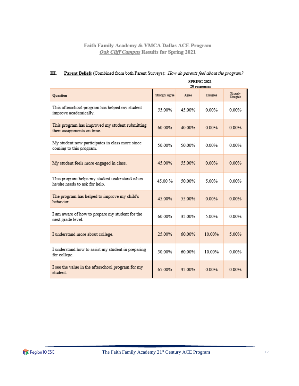#### Ш. Parent Beliefs (Combined from both Parent Surveys): How do parents feel about the program?

|                                                                                | <b>SPRING 2021</b><br>20 responses |        |          |                      |  |
|--------------------------------------------------------------------------------|------------------------------------|--------|----------|----------------------|--|
| <b>Question</b>                                                                | Strongly Agree                     | Agree  | Disagree | Strongly<br>Disagree |  |
| This afterschool program has helped my student<br>improve academically.        | 55.00%                             | 45.00% | $0.00\%$ | $0.00\%$             |  |
| This program has improved my student submitting<br>their assignments on time.  | 60.00%                             | 40 00% | 0.00%    | 0.00%                |  |
| My student now participates in class more since<br>coming to this program.     | 50.00%                             | 50.00% | 0.00%    | 0.00%                |  |
| My student feels more engaged in class.                                        | 45.00%                             | 55.00% | $0.00\%$ | 0.00%                |  |
| This program helps my student understand when<br>he/she needs to ask for help. | 45.00%                             | 50.00% | 5.00%    | 0.00%                |  |
| The program has helped to improve my child's<br>behavior.                      | 45.00%                             | 55.00% | 0.00%    | 0.00%                |  |
| I am aware of how to prepare my student for the<br>next grade level.           | 60 00%                             | 35.00% | 5.00%    | 0.00%                |  |
| I understand more about college.                                               | 25.00%                             | 60.00% | 10.00%   | 5.00%                |  |
| I understand how to assist my student in preparing<br>for college.             | 30 00%                             | 60 00% | 10 00%   | 0.00%                |  |
| I see the value in the afterschool program for my<br>student.                  | 65.00%                             | 35.00% | 0.00%    | 0.00%                |  |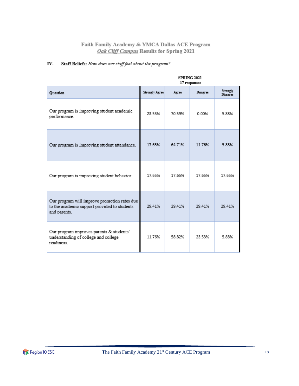#### Staff Beliefs: How does our staff feel about the program? IV.

|                                                                                                              | <b>SPRING 2021</b><br>17 responses |        |          |                      |  |
|--------------------------------------------------------------------------------------------------------------|------------------------------------|--------|----------|----------------------|--|
| <b>Ouestion</b>                                                                                              | <b>Strongly Agree</b>              | Agree  | Disagree | Strongly<br>Disagree |  |
| Our program is improving student academic<br>performance.                                                    | 23.53%                             | 70.59% | 0.00%    | 5.88%                |  |
| Our program is improving student attendance.                                                                 | 17.65%                             | 64.71% | 11.76%   | 5.88%                |  |
| Our program is improving student behavior.                                                                   | 17 65%                             | 17.65% | 17 65%   | 17.65%               |  |
| Our program will improve promotion rates due<br>to the academic support provided to students<br>and parents. | 29.41%                             | 29.41% | 29.41%   | 29.41%               |  |
| Our program improves parents & students'<br>understanding of college and college<br>readiness                | 11.76%                             | 58.82% | 23.53%   | 5.88%                |  |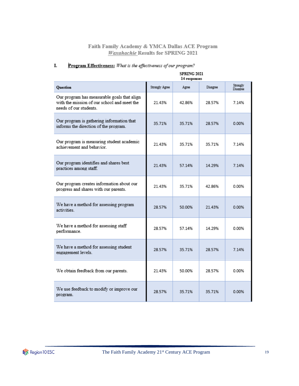|                                                                                                                      | <b>SPRING 2021</b><br>14 responses |        |          |                      |
|----------------------------------------------------------------------------------------------------------------------|------------------------------------|--------|----------|----------------------|
| Question                                                                                                             | Strongly Agree                     | Agree  | Disagree | Strongly<br>Disagree |
| Our program has measurable goals that align<br>with the mission of our school and meet the<br>needs of our students. | 21.43%                             | 42.86% | 28.57%   | 7.14%                |
| Our program is gathering information that<br>informs the direction of the program.                                   | 35.71%                             | 35.71% | 28.57%   | 0.00%                |
| Our program is measuring student academic<br>achievement and behavior.                                               | 21 43%                             | 35 71% | 35 71%   | 7.14%                |
| Our program identifies and shares best<br>practices among staff.                                                     | 21.43%                             | 57.14% | 14.29%   | 7.14%                |
| Our program creates information about our<br>progress and shares with our parents.                                   | 21.43%                             | 35.71% | 42.86%   | 0.00%                |
| We have a method for assessing program<br>activities.                                                                | 28.57%                             | 50.00% | 21 43%   | 0.00%                |
| We have a method for assessing staff<br>performance.                                                                 | 28.57%                             | 57 14% | 14 29%   | 0.00%                |
| We have a method for assessing student<br>engagement levels.                                                         | 28.57%                             | 35.71% | 28.57%   | 7.14%                |
| We obtain feedback from our parents.                                                                                 | 21 43%                             | 50.00% | 28.57%   | 0.00%                |
| We use feedback to modify or improve our<br>program.                                                                 | 28.57%                             | 35.71% | 35.71%   | 0.00%                |

#### Program Effectiveness: What is the effectiveness of our program? I.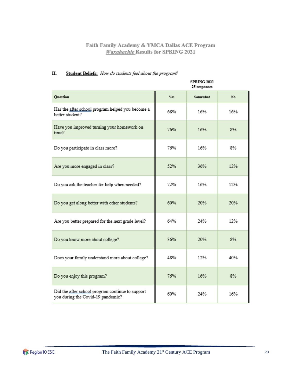|                                                                                       | <b>SPRING 2021</b><br>25 responses |          |     |  |
|---------------------------------------------------------------------------------------|------------------------------------|----------|-----|--|
| <b>Question</b>                                                                       | <b>Yes</b>                         | Somewhat | No. |  |
| Has the after school program helped you become a<br>better student?                   | 68%                                | 16%      | 16% |  |
| Have you improved turning your homework on<br>time?                                   | 76%                                | 16%      | 8%  |  |
| Do you participate in class more?                                                     | 76%                                | 16%      | 8%  |  |
| Are you more engaged in class?                                                        | 52%                                | 36%      | 12% |  |
| Do you ask the teacher for help when needed?                                          | 72%                                | 16%      | 12% |  |
| Do you get along better with other students?                                          | 60%                                | 20%      | 20% |  |
| Are you better prepared for the next grade level?                                     | 64%                                | 24%      | 12% |  |
| Do you know more about college?                                                       | 36%                                | 20%      | 8%  |  |
| Does your family understand more about college?                                       | 48%                                | 12%      | 40% |  |
| Do you enjoy this program?                                                            | 76%                                | 16%      | 8%  |  |
| Did the after school program continue to support<br>you during the Covid-19 pandemic? | 60%                                | 24%      | 16% |  |

#### П. Student Beliefs: How do students feel about the program?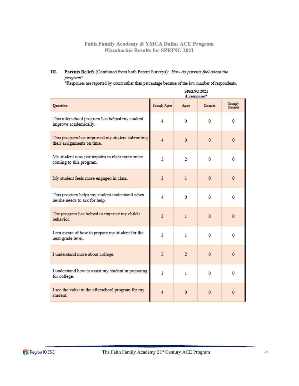Ш. Parents Beliefs (Combined from both Parent Surveys): How do parents feel about the program?

\*Responses are reported by count rather than percentage because of the low number of respondents.

|                                                                                | <b>SPRING 2021</b><br>$4$ responses <sup>*</sup> |                |                |                      |
|--------------------------------------------------------------------------------|--------------------------------------------------|----------------|----------------|----------------------|
| <b>Question</b>                                                                | Strongly Agree                                   | Agree          | Disagree       | Strongly<br>Disagree |
| This afterschool program has helped my student<br>improve academically.        | 4                                                | 0              | 0              | 0                    |
| This program has improved my student submitting<br>their assignments on time.  | $\overline{4}$                                   | $\mathbf{0}$   | $\overline{0}$ | $\mathbf{0}$         |
| My student now participates in class more since<br>coming to this program.     | $\overline{2}$                                   | 2              | 0              | 0                    |
| My student feels more engaged in class.                                        | 3                                                | $\mathbf{1}$   | $\Omega$       | $\mathbf{0}$         |
| This program helps my student understand when<br>he/she needs to ask for help. | 4                                                | 0              | 0              | 0                    |
| The program has helped to improve my child's<br>behavior.                      | 3                                                | $\mathbf{1}$   | $\Omega$       | $\mathbf{0}$         |
| I am aware of how to prepare my student for the<br>next grade level.           | 3                                                | $\mathbf{1}$   | 0              | 0                    |
| I understand more about college.                                               | $\overline{2}$                                   | $\overline{2}$ | $\overline{0}$ | 0                    |
| I understand how to assist my student in preparing<br>for college.             | 3                                                | 1              | 0              | 0                    |
| I see the value in the afterschool program for my<br>student.                  | 4                                                | $\mathbf{0}$   | $\overline{0}$ | $\mathbf{0}$         |